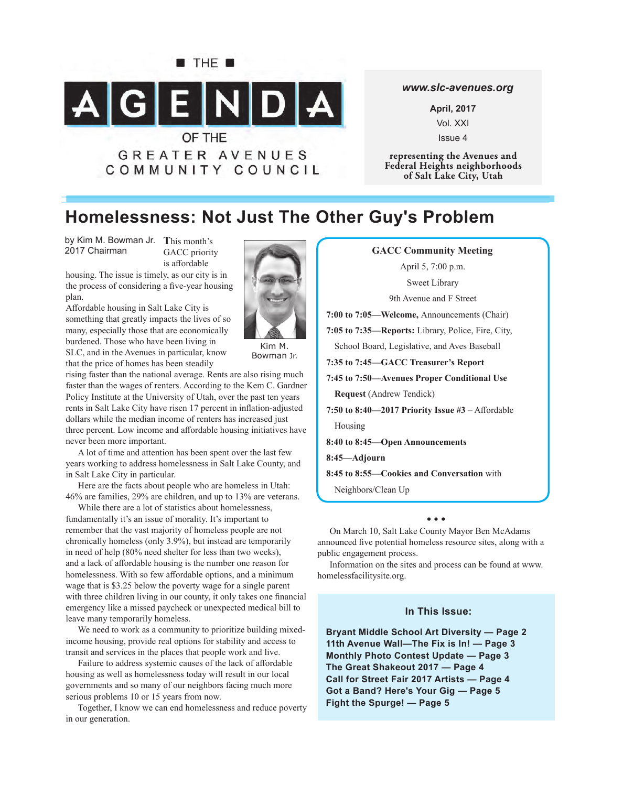

#### *www.slc-avenues.org*

**April, 2017** Vol. XXI Issue 4

**representing the Avenues and Federal Heights neighborhoods of Salt Lake City, Utah**

# **Homelessness: Not Just The Other Guy's Problem**

by Kim M. Bowman Jr. This month's 2017 Chairman

GACC priority is affordable

housing. The issue is timely, as our city is in the process of considering a five-year housing plan.

Affordable housing in Salt Lake City is something that greatly impacts the lives of so many, especially those that are economically burdened. Those who have been living in SLC, and in the Avenues in particular, know that the price of homes has been steadily



Bowman Jr.

rising faster than the national average. Rents are also rising much faster than the wages of renters. According to the Kem C. Gardner Policy Institute at the University of Utah, over the past ten years rents in Salt Lake City have risen 17 percent in inflation-adjusted dollars while the median income of renters has increased just three percent. Low income and affordable housing initiatives have never been more important.

A lot of time and attention has been spent over the last few years working to address homelessness in Salt Lake County, and in Salt Lake City in particular.

Here are the facts about people who are homeless in Utah: 46% are families, 29% are children, and up to 13% are veterans.

While there are a lot of statistics about homelessness, fundamentally it's an issue of morality. It's important to remember that the vast majority of homeless people are not chronically homeless (only 3.9%), but instead are temporarily in need of help (80% need shelter for less than two weeks), and a lack of affordable housing is the number one reason for homelessness. With so few affordable options, and a minimum wage that is \$3.25 below the poverty wage for a single parent with three children living in our county, it only takes one financial emergency like a missed paycheck or unexpected medical bill to leave many temporarily homeless.

We need to work as a community to prioritize building mixedincome housing, provide real options for stability and access to transit and services in the places that people work and live.

Failure to address systemic causes of the lack of affordable housing as well as homelessness today will result in our local governments and so many of our neighbors facing much more serious problems 10 or 15 years from now.

Together, I know we can end homelessness and reduce poverty in our generation.

**GACC Community Meeting** April 5, 7:00 p.m. Sweet Library 9th Avenue and F Street **7:00 to 7:05—Welcome,** Announcements (Chair) **7:05 to 7:35—Reports:** Library, Police, Fire, City, School Board, Legislative, and Aves Baseball **7:35 to 7:45—GACC Treasurer's Report 7:45 to 7:50—Avenues Proper Conditional Use Request** (Andrew Tendick) 7:50 to  $8:40-2017$  Priority Issue  $#3$  – Affordable Housing **8:40 to 8:45—Open Announcements 8:45—Adjourn 8:45 to 8:55—Cookies and Conversation** with Neighbors/Clean Up

**• • •**

On March 10, Salt Lake County Mayor Ben McAdams announced five potential homeless resource sites, along with a public engagement process.

Information on the sites and process can be found at www. homelessfacilitysite.org.

### **In This Issue:**

**Bryant Middle School Art Diversity — Page 2 11th Avenue Wall—The Fix is In! — Page 3 Monthly Photo Contest Update — Page 3 The Great Shakeout 2017 — Page 4 Call for Street Fair 2017 Artists — Page 4 Got a Band? Here's Your Gig — Page 5 Fight the Spurge! — Page 5**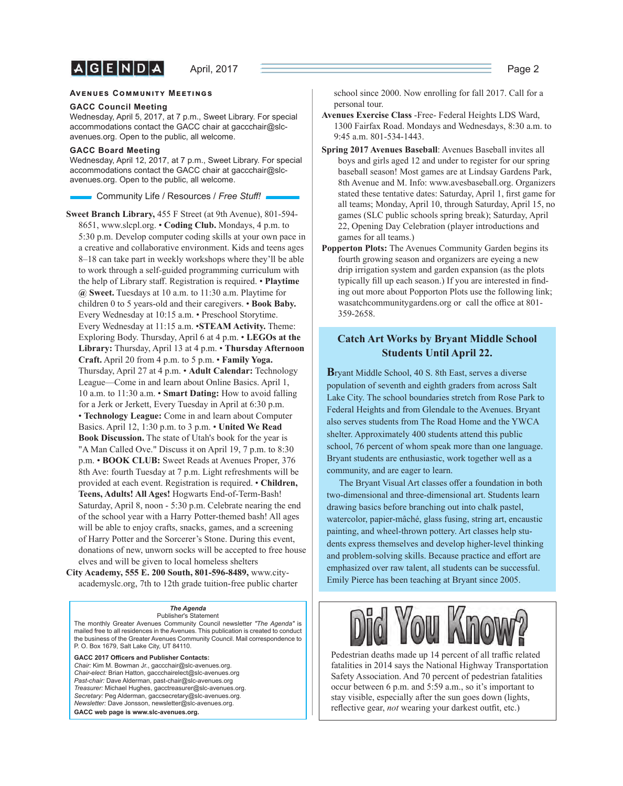$A|G|E|N|D|A|$ 

#### **AVENUES COMMUNITY MEETINGS**

#### **GACC Council Meeting**

Wednesday, April 5, 2017, at 7 p.m., Sweet Library. For special accommodations contact the GACC chair at gaccchair@slcavenues.org. Open to the public, all welcome.

#### **GACC Board Meeting**

Wednesday, April 12, 2017, at 7 p.m., Sweet Library. For special accommodations contact the GACC chair at gaccchair@slcavenues.org. Open to the public, all welcome.

Community Life / Resources / *Free Stuff !*

**Sweet Branch Library,** 455 F Street (at 9th Avenue), 801-594- 8651, www.slcpl.org. • **Coding Club.** Mondays, 4 p.m. to 5:30 p.m. Develop computer coding skills at your own pace in a creative and collaborative environment. Kids and teens ages 8–18 can take part in weekly workshops where they'll be able to work through a self-guided programming curriculum with the help of Library staff. Registration is required. • **Playtime @ Sweet.** Tuesdays at 10 a.m. to 11:30 a.m. Playtime for children 0 to 5 years-old and their caregivers. • **Book Baby.** Every Wednesday at 10:15 a.m. • Preschool Storytime. Every Wednesday at 11:15 a.m. •**STEAM Activity.** Theme: Exploring Body. Thursday, April 6 at 4 p.m. • **LEGOs at the Library:** Thursday, April 13 at 4 p.m. • **Thursday Afternoon Craft.** April 20 from 4 p.m. to 5 p.m. • **Family Yoga.** Thursday, April 27 at 4 p.m. • **Adult Calendar:** Technology League—Come in and learn about Online Basics. April 1, 10 a.m. to 11:30 a.m. • **Smart Dating:** How to avoid falling for a Jerk or Jerkett, Every Tuesday in April at 6:30 p.m. • **Technology League:** Come in and learn about Computer Basics. April 12, 1:30 p.m. to 3 p.m. • **United We Read Book Discussion.** The state of Utah's book for the year is "A Man Called Ove." Discuss it on April 19, 7 p.m. to 8:30 p.m. • **BOOK CLUB:** Sweet Reads at Avenues Proper, 376 8th Ave: fourth Tuesday at 7 p.m. Light refreshments will be provided at each event. Registration is required. • **Children, Teens, Adults! All Ages!** Hogwarts End-of-Term-Bash! Saturday, April 8, noon - 5:30 p.m. Celebrate nearing the end of the school year with a Harry Potter-themed bash! All ages will be able to enjoy crafts, snacks, games, and a screening of Harry Potter and the Sorcerer's Stone. During this event, donations of new, unworn socks will be accepted to free house elves and will be given to local homeless shelters

**City Academy, 555 E. 200 South, 801-596-8489,** www.cityacademyslc.org, 7th to 12th grade tuition-free public charter

#### *The Agenda* Publisher's Statement

The monthly Greater Avenues Community Council newsletter *"The Agenda"* is mailed free to all residences in the Avenues. This publication is created to conduct the business of the Greater Avenues Community Council. Mail correspondence to P. O. Box 1679, Salt Lake City, UT 84110.

GACC 2017 Officers and Publisher Contacts: *Chair:* Kim M. Bowman Jr., gaccchair@slc-avenues.org. *Chair-elect:* Brian Hatton, gaccchairelect@slc-avenues.org *Past-chair:* Dave Alderman, past-chair@slc-avenues.org *Treasurer:* Michael Hughes, gacctreasurer@slc-avenues.org. *Secretary:* Peg Alderman, gaccsecretary@slc-avenues.org. *Newsletter:* Dave Jonsson, newsletter@slc-avenues.org. **GACC web page is www.slc-avenues.org.**

school since 2000. Now enrolling for fall 2017. Call for a personal tour.

- **Avenues Exercise Class** -Free- Federal Heights LDS Ward, 1300 Fairfax Road. Mondays and Wednesdays, 8:30 a.m. to 9:45 a.m. 801-534-1443.
- **Spring 2017 Avenues Baseball**: Avenues Baseball invites all boys and girls aged 12 and under to register for our spring baseball season! Most games are at Lindsay Gardens Park, 8th Avenue and M. Info: www.avesbaseball.org. Organizers stated these tentative dates: Saturday, April 1, first game for all teams; Monday, April 10, through Saturday, April 15, no games (SLC public schools spring break); Saturday, April 22, Opening Day Celebration (player introductions and games for all teams.)
- **Popperton Plots:** The Avenues Community Garden begins its fourth growing season and organizers are eyeing a new drip irrigation system and garden expansion (as the plots typically fill up each season.) If you are interested in finding out more about Popporton Plots use the following link; wasatchcommunitygardens.org or call the office at 801-359-2658.

### **Catch Art Works by Bryant Middle School Students Until April 22.**

**B**ryant Middle School, 40 S. 8th East, serves a diverse population of seventh and eighth graders from across Salt Lake City. The school boundaries stretch from Rose Park to Federal Heights and from Glendale to the Avenues. Bryant also serves students from The Road Home and the YWCA shelter. Approximately 400 students attend this public school, 76 percent of whom speak more than one language. Bryant students are enthusiastic, work together well as a community, and are eager to learn.

The Bryant Visual Art classes offer a foundation in both two-dimensional and three-dimensional art. Students learn drawing basics before branching out into chalk pastel, watercolor, papier-mâché, glass fusing, string art, encaustic painting, and wheel-thrown pottery. Art classes help students express themselves and develop higher-level thinking and problem-solving skills. Because practice and effort are emphasized over raw talent, all students can be successful. Emily Pierce has been teaching at Bryant since 2005.



Pedestrian deaths made up 14 percent of all traffic related fatalities in 2014 says the National Highway Transportation Safety Association. And 70 percent of pedestrian fatalities occur between 6 p.m. and 5:59 a.m., so it's important to stay visible, especially after the sun goes down (lights, reflective gear, not wearing your darkest outfit, etc.)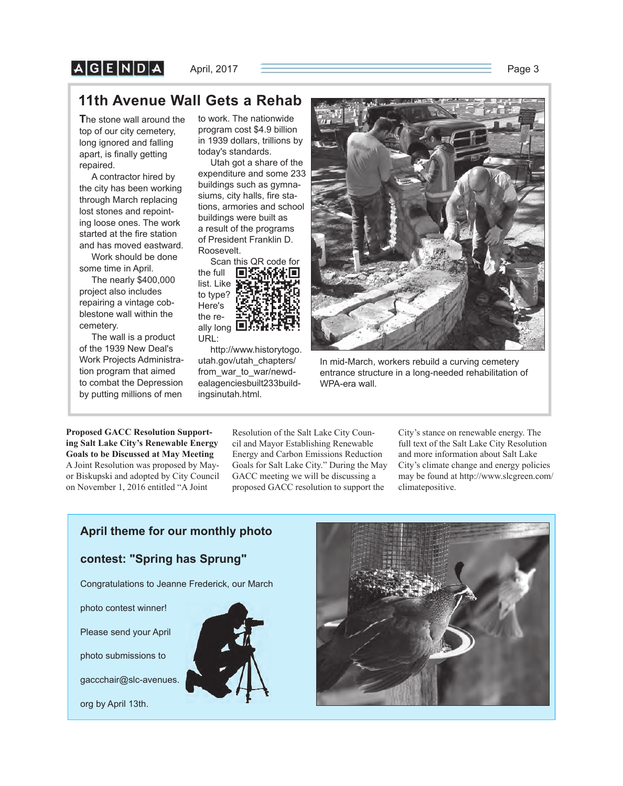# $A$  $G$  $E$  $N$  $D$  $A$

# **11th Avenue Wall Gets a Rehab**

**T**he stone wall around the top of our city cemetery, long ignored and falling apart, is finally getting repaired.

A contractor hired by the city has been working through March replacing lost stones and repointing loose ones. The work started at the fire station and has moved eastward. Work should be done

some time in April.

The nearly \$400,000 project also includes repairing a vintage cobblestone wall within the cemetery.

The wall is a product of the 1939 New Deal's Work Projects Administration program that aimed to combat the Depression by putting millions of men

to work. The nationwide program cost \$4.9 billion in 1939 dollars, trillions by today's standards.

Utah got a share of the expenditure and some 233 buildings such as gymnasiums, city halls, fire stations, armories and school buildings were built as a result of the programs of President Franklin D. Roosevelt.

Scan this QR code for the full П list. Like to type? Here's the really long URL:

http://www.historytogo. utah.gov/utah\_chapters/ from\_war\_to\_war/newdealagenciesbuilt233build-

ingsinutah.html.



In mid-March, workers rebuild a curving cemetery entrance structure in a long-needed rehabilitation of WPA-era wall.

**Proposed GACC Resolution Supporting Salt Lake City's Renewable Energy Goals to be Discussed at May Meeting**  A Joint Resolution was proposed by Mayor Biskupski and adopted by City Council on November 1, 2016 entitled "A Joint

Resolution of the Salt Lake City Council and Mayor Establishing Renewable Energy and Carbon Emissions Reduction Goals for Salt Lake City." During the May GACC meeting we will be discussing a proposed GACC resolution to support the

City's stance on renewable energy. The full text of the Salt Lake City Resolution and more information about Salt Lake City's climate change and energy policies may be found at http://www.slcgreen.com/ climatepositive.

# **April theme for our monthly photo**

### **contest: "Spring has Sprung"**

Congratulations to Jeanne Frederick, our March

photo contest winner!

Please send your April

photo submissions to

gaccchair@slc-avenues.

org by April 13th.



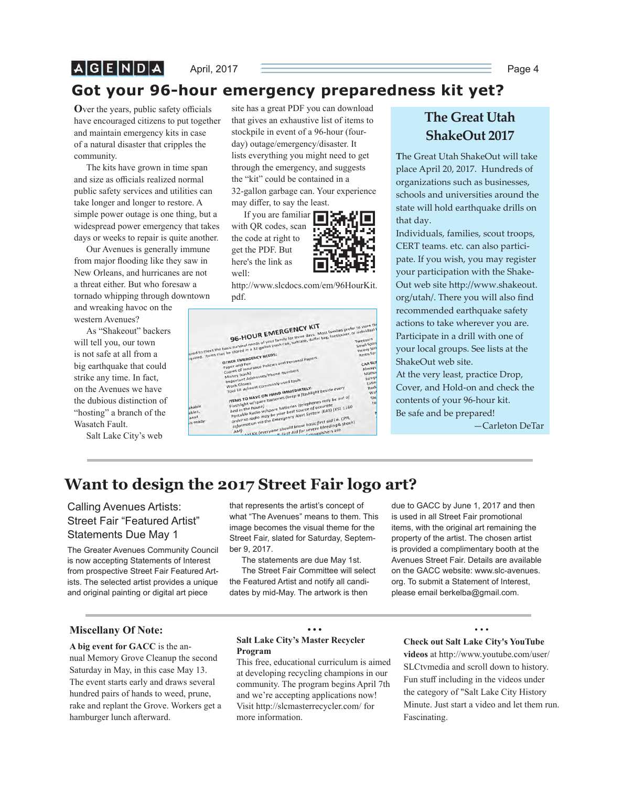$A|G|E|N|D|A|$ 

April, 2017 **Page 4** Page 4

# **Got your 96-hour emergency preparedness kit yet?**

**O**ver the years, public safety officials have encouraged citizens to put together and maintain emergency kits in case of a natural disaster that cripples the community.

The kits have grown in time span and size as officials realized normal public safety services and utilities can take longer and longer to restore. A simple power outage is one thing, but a widespread power emergency that takes days or weeks to repair is quite another.

Our Avenues is generally immune from major flooding like they saw in New Orleans, and hurricanes are not a threat either. But who foresaw a tornado whipping through downtown

and wreaking havoc on the western Avenues?

As "Shakeout" backers will tell you, our town is not safe at all from a big earthquake that could strike any time. In fact, on the Avenues we have the dubious distinction of "hosting" a branch of the Wasatch Fault.

Salt Lake City's web

site has a great PDF you can download that gives an exhaustive list of items to stockpile in event of a 96-hour (fourday) outage/emergency/disaster. It lists everything you might need to get through the emergency, and suggests the "kit" could be contained in a 32-gallon garbage can. Your experience may differ, to say the least.

If you are familiar with QR codes, scan the code at right to get the PDF. But here's the link as well:



http://www.slcdocs.com/em/96HourKit. pdf.



# **The Great Utah ShakeOut 2017**

**T**he Great Utah ShakeOut will take place April 20, 2017. Hundreds of organizations such as businesses, schools and universities around the state will hold earthquake drills on that day.

Individuals, families, scout troops, CERT teams. etc. can also participate. If you wish, you may register your participation with the Shake-Out web site http://www.shakeout. org/utah/. There you will also find recommended earthquake safety actions to take wherever you are. Participate in a drill with one of your local groups. See lists at the ShakeOut web site.

At the very least, practice Drop, Cover, and Hold-on and check the contents of your 96-hour kit. Be safe and be prepared!

—Carleton DeTar

# **Want to design the 2017 Street Fair logo art?**

# Calling Avenues Artists: Street Fair "Featured Artist" Statements Due May 1

The Greater Avenues Community Council is now accepting Statements of Interest from prospective Street Fair Featured Artists. The selected artist provides a unique and original painting or digital art piece

that represents the artist's concept of what "The Avenues" means to them. This image becomes the visual theme for the Street Fair, slated for Saturday, September 9, 2017.

The statements are due May 1st.

The Street Fair Committee will select the Featured Artist and notify all candidates by mid-May. The artwork is then

due to GACC by June 1, 2017 and then is used in all Street Fair promotional items, with the original art remaining the property of the artist. The chosen artist is provided a complimentary booth at the Avenues Street Fair. Details are available on the GACC website: www.slc-avenues. org. To submit a Statement of Interest, please email berkelba@gmail.com.

### **Miscellany Of Note:**

**A big event for GACC** is the annual Memory Grove Cleanup the second Saturday in May, in this case May 13. The event starts early and draws several hundred pairs of hands to weed, prune, rake and replant the Grove. Workers get a hamburger lunch afterward.

### **Salt Lake City's Master Recycler Program**

This free, educational curriculum is aimed at developing recycling champions in our community. The program begins April 7th and we're accepting applications now! Visit http://slcmasterrecycler.com/ for more information.

**• • •**

#### • • • **Check out Salt Lake City's YouTube**

**videos** at http://www.youtube.com/user/ SLCtvmedia and scroll down to history. Fun stuff including in the videos under the category of "Salt Lake City History Minute. Just start a video and let them run. Fascinating.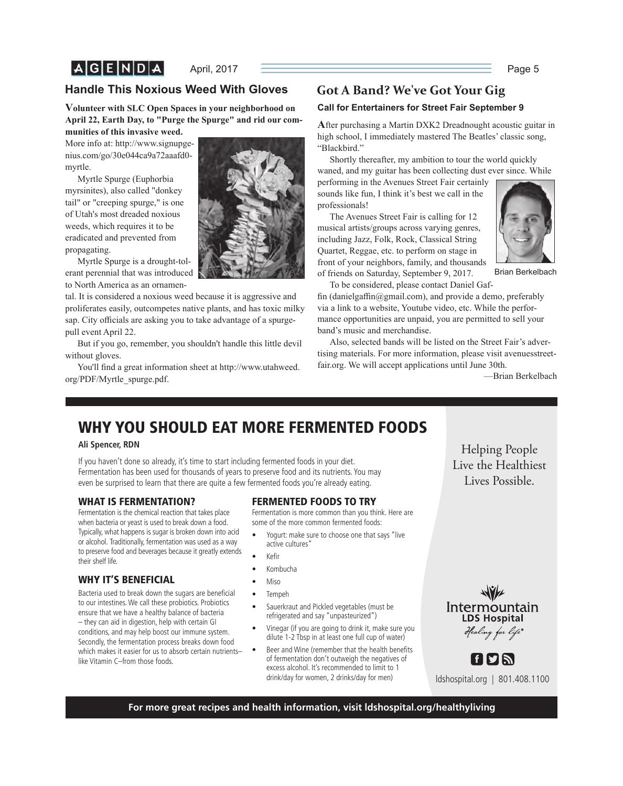# **Handle This Noxious Weed With Gloves**

**Volunteer with SLC Open Spaces in your neighborhood on April 22, Earth Day, to "Purge the Spurge" and rid our communities of this invasive weed.**

More info at: http://www.signupgenius.com/go/30e044ca9a72aaafd0 myrtle.

Myrtle Spurge (Euphorbia myrsinites), also called "donkey tail" or "creeping spurge," is one of Utah's most dreaded noxious weeds, which requires it to be eradicated and prevented from propagating.

Myrtle Spurge is a drought-tolerant perennial that was introduced to North America as an ornamen-

tal. It is considered a noxious weed because it is aggressive and proliferates easily, outcompetes native plants, and has toxic milky sap. City officials are asking you to take advantage of a spurgepull event April 22.

But if you go, remember, you shouldn't handle this little devil without gloves.

You'll find a great information sheet at http://www.utahweed. org/PDF/Myrtle\_spurge.pdf.



# **Got A Band? We've Got Your Gig**

### **Call for Entertainers for Street Fair September 9**

**A**fter purchasing a Martin DXK2 Dreadnought acoustic guitar in high school, I immediately mastered The Beatles' classic song, "Blackbird."

Shortly thereafter, my ambition to tour the world quickly waned, and my guitar has been collecting dust ever since. While

performing in the Avenues Street Fair certainly sounds like fun, I think it's best we call in the professionals!

The Avenues Street Fair is calling for 12 musical artists/groups across varying genres, including Jazz, Folk, Rock, Classical String Quartet, Reggae, etc. to perform on stage in front of your neighbors, family, and thousands of friends on Saturday, September 9, 2017.



Brian Berkelbach

To be considered, please contact Daniel Gaf-

fin (danielgaffin $@g$ mail.com), and provide a demo, preferably via a link to a website, Youtube video, etc. While the performance opportunities are unpaid, you are permitted to sell your band's music and merchandise.

Also, selected bands will be listed on the Street Fair's advertising materials. For more information, please visit avenuesstreetfair.org. We will accept applications until June 30th.

—Brian Berkelbach

# **WHY YOU SHOULD EAT MORE FERMENTED FOODS**

### **Ali Spencer, RDN**

If you haven't done so already, it's time to start including fermented foods in your diet. Fermentation has been used for thousands of years to preserve food and its nutrients. You may even be surprised to learn that there are quite a few fermented foods you're already eating.

### **WHAT IS FERMENTATION?**

Fermentation is the chemical reaction that takes place when bacteria or yeast is used to break down a food. Typically, what happens is sugar is broken down into acid or alcohol. Traditionally, fermentation was used as a way to preserve food and beverages because it greatly extends their shelf life.

# **WHY IT'S BENEFICIAL**

Bacteria used to break down the sugars are beneficial to our intestines. We call these probiotics. Probiotics ensure that we have a healthy balance of bacteria – they can aid in digestion, help with certain GI conditions, and may help boost our immune system. Secondly, the fermentation process breaks down food which makes it easier for us to absorb certain nutrients– like Vitamin C–from those foods.

### **FERMENTED FOODS TO TRY**

Fermentation is more common than you think. Here are some of the more common fermented foods:

- Yogurt: make sure to choose one that says "live active cultures"
- Kefir
- Kombucha
- Miso
- Tempeh
- Sauerkraut and Pickled vegetables (must be refrigerated and say "unpasteurized")
- Vinegar (if you are going to drink it, make sure you dilute 1-2 Tbsp in at least one full cup of water)
- Beer and Wine (remember that the health benefits of fermentation don't outweigh the negatives of excess alcohol. It's recommended to limit to 1 drink/day for women, 2 drinks/day for men)

Helping People<br>Live the Healthiest Lives Possible. Lives Possible.





ldshospital.org | 801.408.1100